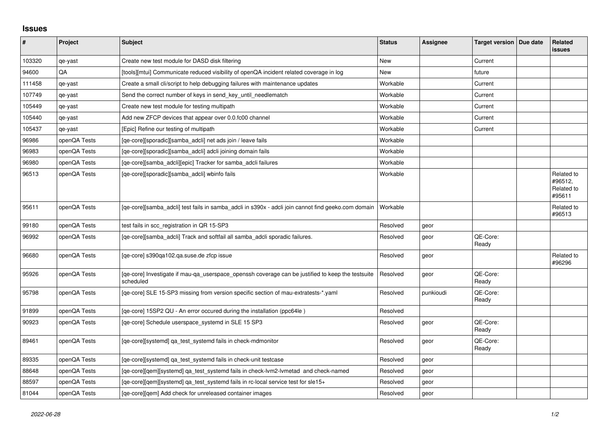## **Issues**

| #      | Project      | <b>Subject</b>                                                                                                 | <b>Status</b> | Assignee  | Target version   Due date | Related<br><b>issues</b>                      |
|--------|--------------|----------------------------------------------------------------------------------------------------------------|---------------|-----------|---------------------------|-----------------------------------------------|
| 103320 | qe-yast      | Create new test module for DASD disk filtering                                                                 | New           |           | Current                   |                                               |
| 94600  | QA           | [tools][mtui] Communicate reduced visibility of openQA incident related coverage in log                        | <b>New</b>    |           | future                    |                                               |
| 111458 | qe-yast      | Create a small cli/script to help debugging failures with maintenance updates                                  | Workable      |           | Current                   |                                               |
| 107749 | qe-yast      | Send the correct number of keys in send key until needlematch                                                  | Workable      |           | Current                   |                                               |
| 105449 | qe-yast      | Create new test module for testing multipath                                                                   | Workable      |           | Current                   |                                               |
| 105440 | qe-yast      | Add new ZFCP devices that appear over 0.0.fc00 channel                                                         | Workable      |           | Current                   |                                               |
| 105437 | qe-yast      | [Epic] Refine our testing of multipath                                                                         | Workable      |           | Current                   |                                               |
| 96986  | openQA Tests | [qe-core][sporadic][samba_adcli] net ads join / leave fails                                                    | Workable      |           |                           |                                               |
| 96983  | openQA Tests | [qe-core][sporadic][samba_adcli] adcli joining domain fails                                                    | Workable      |           |                           |                                               |
| 96980  | openQA Tests | [qe-core][samba_adcli][epic] Tracker for samba_adcli failures                                                  | Workable      |           |                           |                                               |
| 96513  | openQA Tests | [qe-core][sporadic][samba_adcli] wbinfo fails                                                                  | Workable      |           |                           | Related to<br>#96512,<br>Related to<br>#95611 |
| 95611  | openQA Tests | [qe-core][samba_adcli] test fails in samba_adcli in s390x - adcli join cannot find geeko.com domain            | Workable      |           |                           | Related to<br>#96513                          |
| 99180  | openQA Tests | test fails in scc_registration in QR 15-SP3                                                                    | Resolved      | geor      |                           |                                               |
| 96992  | openQA Tests | [qe-core][samba_adcli] Track and softfail all samba_adcli sporadic failures.                                   | Resolved      | geor      | QE-Core:<br>Ready         |                                               |
| 96680  | openQA Tests | [qe-core] s390qa102.qa.suse.de zfcp issue                                                                      | Resolved      | geor      |                           | Related to<br>#96296                          |
| 95926  | openQA Tests | [ge-core] Investigate if mau-ga userspace openssh coverage can be justified to keep the testsuite<br>scheduled | Resolved      | geor      | QE-Core:<br>Ready         |                                               |
| 95798  | openQA Tests | [qe-core] SLE 15-SP3 missing from version specific section of mau-extratests-*.yaml                            | Resolved      | punkioudi | QE-Core:<br>Ready         |                                               |
| 91899  | openQA Tests | [qe-core] 15SP2 QU - An error occured during the installation (ppc64le)                                        | Resolved      |           |                           |                                               |
| 90923  | openQA Tests | [qe-core] Schedule userspace_systemd in SLE 15 SP3                                                             | Resolved      | geor      | QE-Core:<br>Ready         |                                               |
| 89461  | openQA Tests | [qe-core][systemd] qa test systemd fails in check-mdmonitor                                                    | Resolved      | geor      | QE-Core:<br>Ready         |                                               |
| 89335  | openQA Tests | [qe-core][systemd] ga test systemd fails in check-unit testcase                                                | Resolved      | geor      |                           |                                               |
| 88648  | openQA Tests | [qe-core][qem][systemd] qa_test_systemd fails in check-lvm2-lvmetad and check-named                            | Resolved      | geor      |                           |                                               |
| 88597  | openQA Tests | [qe-core][qem][systemd] qa_test_systemd fails in rc-local service test for sle15+                              | Resolved      | geor      |                           |                                               |
| 81044  | openQA Tests | [ge-core][gem] Add check for unreleased container images                                                       | Resolved      | geor      |                           |                                               |